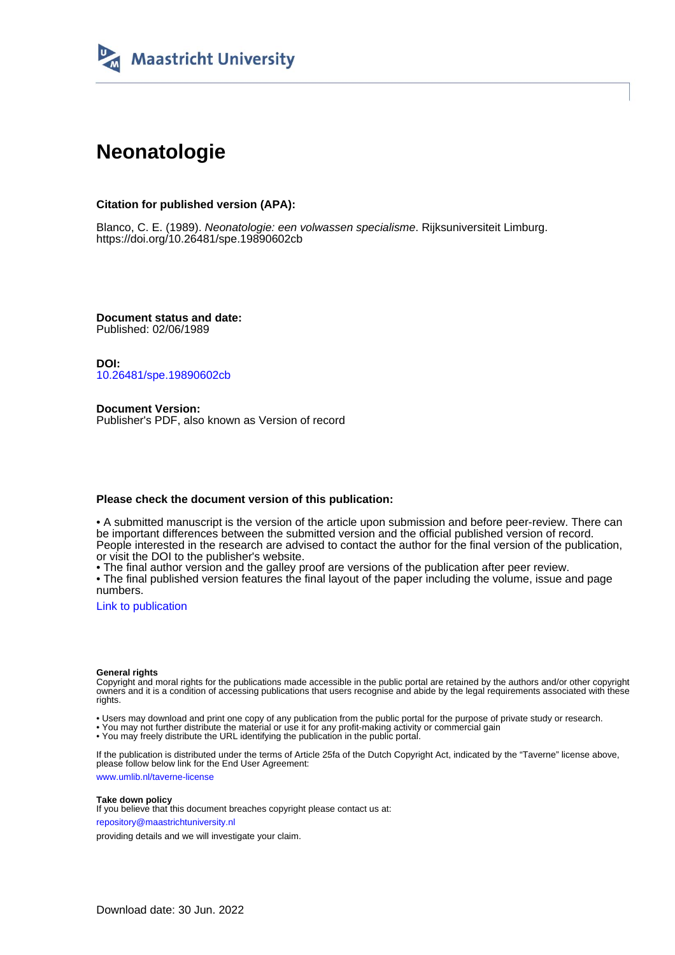

# **Neonatologie**

# **Citation for published version (APA):**

Blanco, C. E. (1989). Neonatologie: een volwassen specialisme. Rijksuniversiteit Limburg. <https://doi.org/10.26481/spe.19890602cb>

**Document status and date:** Published: 02/06/1989

**DOI:** [10.26481/spe.19890602cb](https://doi.org/10.26481/spe.19890602cb)

**Document Version:** Publisher's PDF, also known as Version of record

## **Please check the document version of this publication:**

• A submitted manuscript is the version of the article upon submission and before peer-review. There can be important differences between the submitted version and the official published version of record. People interested in the research are advised to contact the author for the final version of the publication, or visit the DOI to the publisher's website.

• The final author version and the galley proof are versions of the publication after peer review.

• The final published version features the final layout of the paper including the volume, issue and page numbers.

[Link to publication](https://cris.maastrichtuniversity.nl/en/publications/7501fc83-6b60-4d2f-b0af-26da4fc34ec7)

#### **General rights**

Copyright and moral rights for the publications made accessible in the public portal are retained by the authors and/or other copyright owners and it is a condition of accessing publications that users recognise and abide by the legal requirements associated with these rights.

• Users may download and print one copy of any publication from the public portal for the purpose of private study or research.

• You may not further distribute the material or use it for any profit-making activity or commercial gain

• You may freely distribute the URL identifying the publication in the public portal.

If the publication is distributed under the terms of Article 25fa of the Dutch Copyright Act, indicated by the "Taverne" license above, please follow below link for the End User Agreement:

www.umlib.nl/taverne-license

#### **Take down policy**

If you believe that this document breaches copyright please contact us at: repository@maastrichtuniversity.nl

providing details and we will investigate your claim.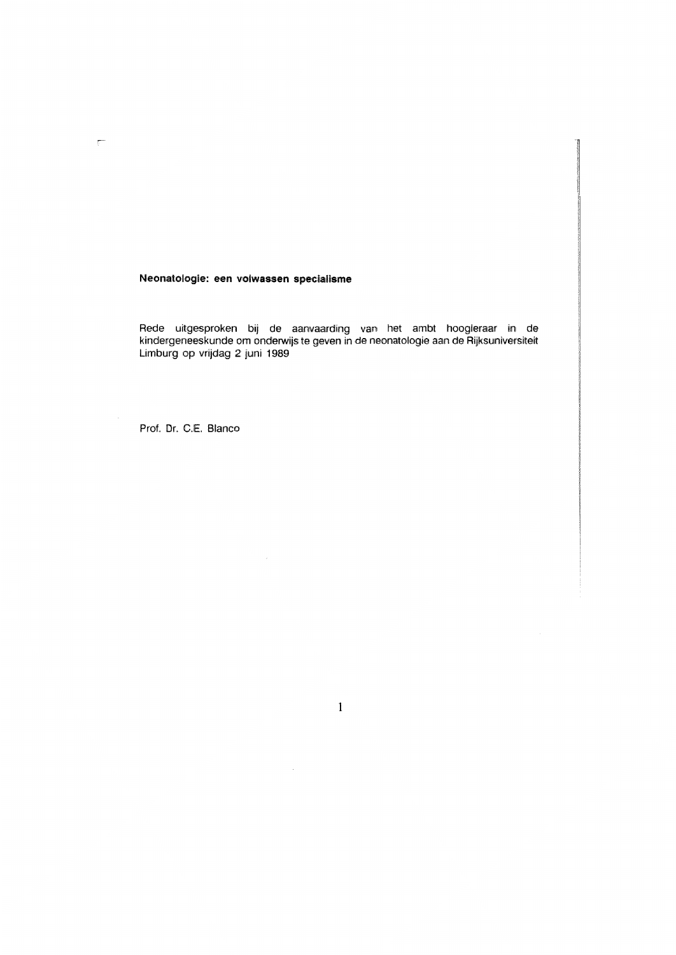Neonatologie: een volwassen specialisme

Rede uitgesproken bij de aanvaarding van het ambt hoogleraar in de kindergeneeskunde om onderwijs te geven in de neonatologie aan de Rijksuniversiteit Limburg op vrijdag 2 juni 1989

Prof. Dr. C.E. Blanco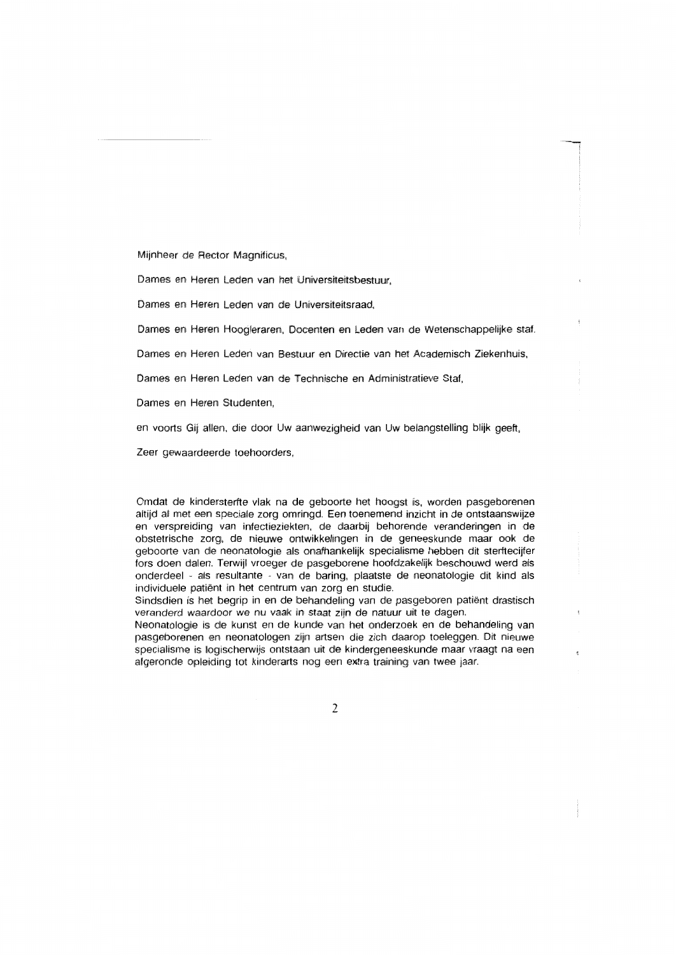Mijnheer de Rector Magnificus,

Dames en Heren Leden van het Universiteitsbestuur.

Dames en Heren Leden van de Universiteitsraad.

Dames en Heren Hoogleraren, Docenten en Leden van de Wetenschappelijke staf.

Dames en Heren Leden van Bestuur en Directie van het Academisch Ziekenhuis.

Dames en Heren Leden van de Technische en Administratieve Staf.

Dames en Heren Studenten.

en voorts Gij allen, die door Uw aanwezigheid van Uw belangstelling blijk geeft,

Zeer gewaardeerde toehoorders.

Omdat de kindersterfte vlak na de geboorte het hoogst is, worden pasgeborenen altijd al met een speciale zorg omringd. Een toenemend inzicht in de ontstaanswijze en verspreiding van infectieziekten, de daarbij behorende veranderingen in de obstetrische zorg, de nieuwe ontwikkelingen in de geneeskunde maar ook de geboorte van de neonatologie als onafhankelijk specialisme hebben dit sterftecijfer fors doen dalen. Terwijl vroeger de pasgeborene hoofdzakelijk beschouwd werd als onderdeel - als resultante - van de baring, plaatste de neonatologie dit kind als individuele patiënt in het centrum van zorg en studie.

Sindsdien is het begrip in en de behandeling van de pasgeboren patiënt drastisch veranderd waardoor we nu vaak in staat zijn de natuur uit te dagen.

Neonatologie is de kunst en de kunde van het onderzoek en de behandeling van pasgeborenen en neonatologen zijn artsen die zich daarop toeleggen. Dit nieuwe specialisme is logischerwijs ontstaan uit de kindergeneeskunde maar vraagt na een afgeronde opleiding tot kinderarts nog een extra training van twee jaar.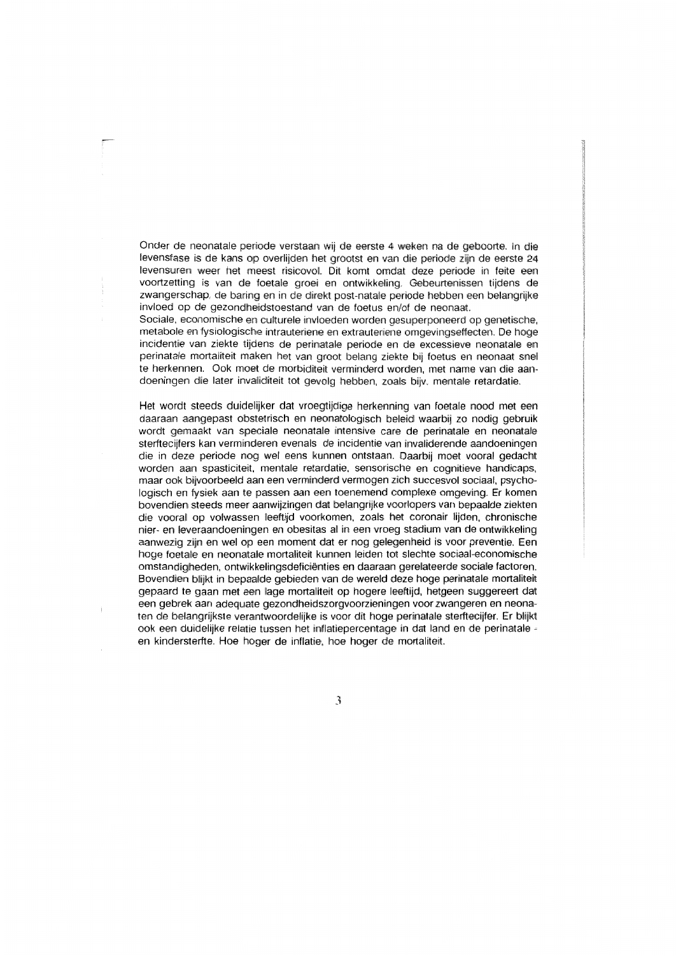Onder de neonatale periode verstaan wij de eerste 4 weken na de geboorte. In die levensfase is de kans op overlijden het grootst en van die periode zijn de eerste 24 levensuren weer het meest risicovol. Dit komt omdat deze periode in feite een voortzetting is van de foetale groei en ontwikkeling. Gebeurtenissen tijdens de zwangerschap, de baring en in de direkt post-natale periode hebben een belangrijke invloed op de gezondheidstoestand van de foetus en/of de neonaat.

Sociale, economische en culturele invloeden worden gesuperponeerd op genetische, metabole en fysiologische intrauteriene en extrauteriene omgevingseffecten. De hoge incidentie van ziekte tijdens de perinatale periode en de excessieve neonatale en perinatale mortaliteit maken het van groot belang ziekte bij foetus en neonaat snel te herkennen. Ook moet de morbiditeit verminderd worden, met name van die aandoeningen die later invaliditeit tot gevolg hebben, zoals bijv, mentale retardatie.

Het wordt steeds duidelijker dat vroegtijdige herkenning van foetale nood met een daaraan aangepast obstetrisch en neonatologisch beleid waarbij zo nodig gebruik wordt gemaakt van speciale neonatale intensive care de perinatale en neonatale sterfteciifers kan verminderen evenals de incidentie van invaliderende aandoeningen die in deze periode nog wel eens kunnen ontstaan. Daarbij moet vooral gedacht worden aan spasticiteit, mentale retardatie, sensorische en cognitieve handicaps, maar ook bijvoorbeeld aan een verminderd vermogen zich succesvol sociaal, psychologisch en fysiek aan te passen aan een toenemend complexe omgeving. Er komen bovendien steeds meer aanwijzingen dat belangrijke voorlopers van bepaalde ziekten die vooral op volwassen leeftijd voorkomen, zoals het coronair lijden, chronische nier- en leveraandoeningen en obesitas al in een vroeg stadium van de ontwikkeling aanwezig zijn en wel op een moment dat er nog gelegenheid is voor preventie. Een hoge foetale en neonatale mortaliteit kunnen leiden tot slechte sociaal-economische omstandigheden, ontwikkelingsdeficiënties en daaraan gerelateerde sociale factoren. Bovendien blijkt in bepaalde gebieden van de wereld deze hoge perinatale mortaliteit gepaard te gaan met een lage mortaliteit op hogere leeftijd, hetgeen suggereert dat een gebrek aan adeguate gezondheidszorgvoorzieningen voor zwangeren en neonaten de belangrijkste verantwoordelijke is voor dit hoge perinatale sterftecijfer. Er blijkt ook een duidelijke relatie tussen het inflatiepercentage in dat land en de perinatale en kindersterite. Hoe hoger de inflatie, hoe hoger de mortaliteit.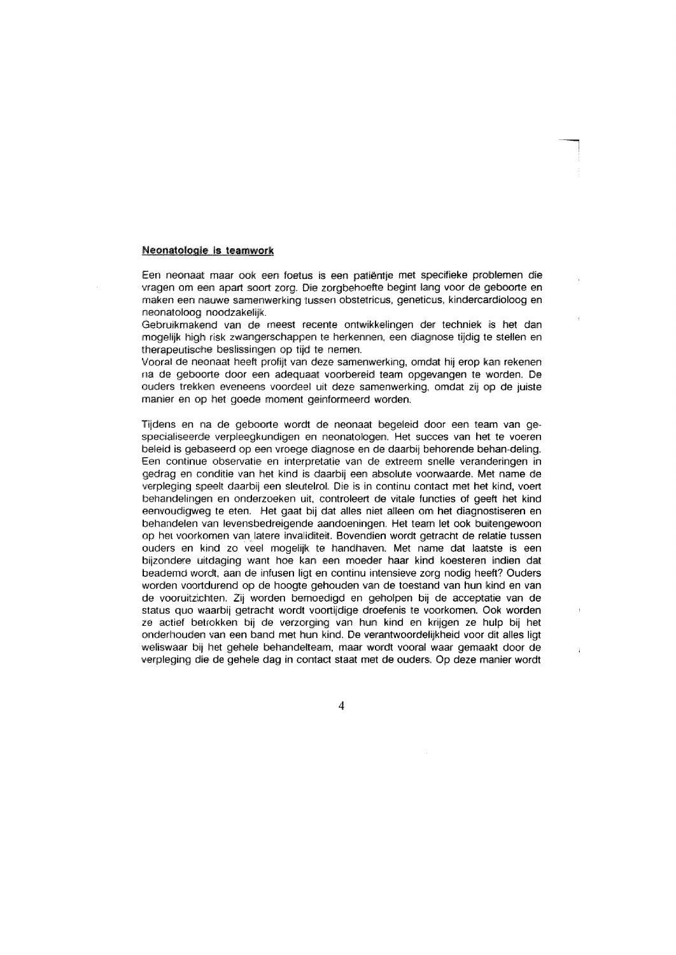## Neonatologie is teamwork

Een neonaat maar ook een foetus is een patiëntje met specifieke problemen die vragen om een apart soort zorg. Die zorgbehoefte begint lang voor de geboorte en maken een nauwe samenwerking tussen obstetricus, geneticus, kindercardioloog en neonatoloog noodzakelijk.

Gebruikmakend van de meest recente ontwikkelingen der techniek is het dan mogelijk high risk zwangerschappen te herkennen, een diagnose tijdig te stellen en therapeutische beslissingen op tiid te nemen.

Vooral de neonaat heeft profijt van deze samenwerking, omdat hij erop kan rekenen na de geboorte door een adequaat voorbereid team opgevangen te worden. De ouders trekken eveneens voordeel uit deze samenwerking, omdat zij op de juiste manier en op het goede moment geinformeerd worden.

Tijdens en na de geboorte wordt de neonaat begeleid door een team van gespecialiseerde verpleegkundigen en neonatologen. Het succes van het te voeren beleid is gebaseerd op een vroege diagnose en de daarbij behorende behan-deling. Een continue observatie en interpretatie van de extreem snelle veranderingen in gedrag en conditie van het kind is daarbij een absolute voorwaarde. Met name de verpleging speelt daarbij een sleutelrol. Die is in continu contact met het kind, voert behandelingen en onderzoeken uit, controleert de vitale functies of geeft het kind eenvoudigweg te eten. Het gaat bij dat alles niet alleen om het diagnostiseren en behandelen van levensbedreigende aandoeningen. Het team let ook buitengewoon op het voorkomen van latere invaliditeit. Bovendien wordt getracht de relatie tussen ouders en kind zo veel mogelijk te handhaven. Met name dat laatste is een bijzondere uitdaging want hoe kan een moeder haar kind koesteren indien dat beademd wordt, aan de infusen ligt en continu intensieve zorg nodig heeft? Ouders worden voortdurend op de hoogte gehouden van de toestand van hun kind en van de vooruitzichten. Zij worden bemoedigd en geholpen bij de acceptatie van de status quo waarbij getracht wordt voortijdige droefenis te voorkomen. Ook worden ze actief betrokken bij de verzorging van hun kind en krijgen ze hulp bij het onderhouden van een band met hun kind. De verantwoordelijkheid voor dit alles ligt weliswaar bij het gehele behandelteam, maar wordt vooral waar gemaakt door de verpleging die de gehele dag in contact staat met de ouders. Op deze manier wordt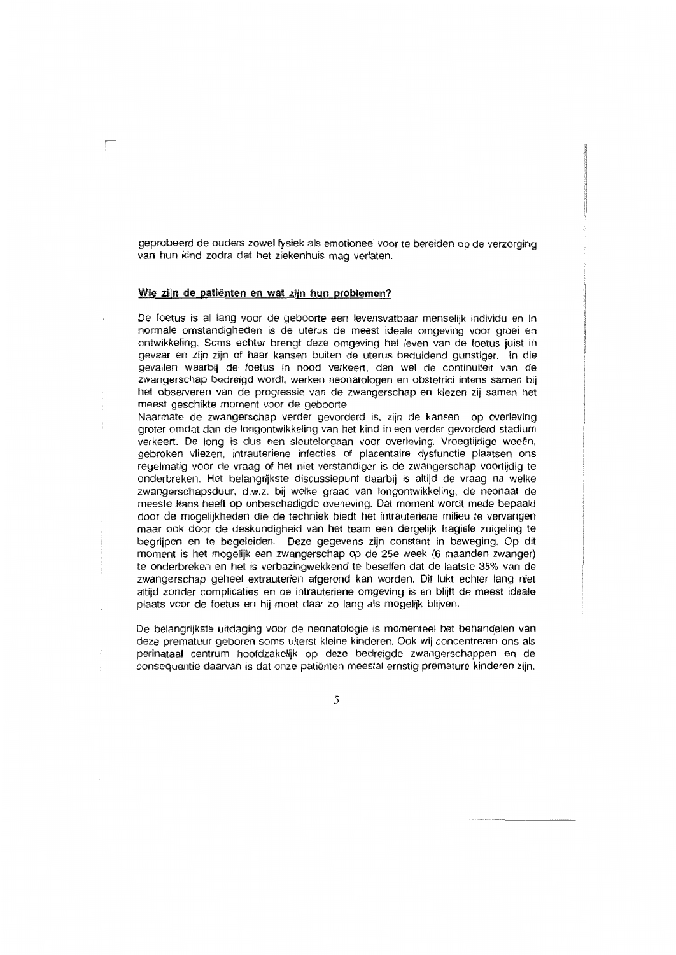geprobeerd de ouders zowel fysiek als emotioneel voor te bereiden op de verzorging van hun kind zodra dat het ziekenhuis mag verlaten.

#### Wie zijn de patiënten en wat zijn hun problemen?

De foetus is al lang voor de geboorte een levensvatbaar menselijk individu en in normale omstandigheden is de uterus de meest ideale omgeving voor groei en ontwikkeling. Soms echter brengt deze omgeving het leven van de foetus juist in gevaar en zijn zijn of haar kansen buiten de uterus beduidend gunstiger. In die gevallen waarbij de foetus in nood verkeert, dan wel de continuiteit van de zwangerschap bedreigd wordt, werken neonatologen en obstetrici intens samen bij het observeren van de progressie van de zwangerschap en kiezen zij samen het meest geschikte moment voor de geboorte.

Naarmate de zwangerschap verder gevorderd is, zijn de kansen op overleving groter omdat dan de longontwikkeling van het kind in een verder gevorderd stadium verkeert. De long is dus een sleutelorgaan voor overleving. Vroegtijdige weeën, gebroken vliezen, intrauteriene infecties of placentaire dysfunctie plaatsen ons regelmatig voor de vraag of het niet verstandiger is de zwangerschap voortijdig te onderbreken. Het belangrijkste discussiepunt daarbij is altijd de vraag na welke zwangerschapsduur, d.w.z. bij welke graad van longontwikkeling, de neonaat de meeste kans heeft op onbeschadigde overleving. Dat moment wordt mede bepaald door de mogelijkheden die de techniek biedt het intrauteriene milieu te vervangen maar ook door de deskundigheid van het team een dergelijk fragiele zuigeling te begrijpen en te begeleiden. Deze gegevens zijn constant in beweging. Op dit moment is het mogelijk een zwangerschap op de 25e week (6 maanden zwanger) te onderbreken en het is verbazingwekkend te beseffen dat de laatste 35% van de zwangerschap geheel extrauterien afgerond kan worden. Dit lukt echter lang niet altiid zonder complicaties en de intrauteriene omgeving is en blijft de meest ideale plaats voor de foetus en hij moet daar zo lang als mogelijk blijven.

De belangrijkste uitdaging voor de neonatologie is momenteel het behandelen van deze prematuur geboren soms uiterst kleine kinderen. Ook wij concentreren ons als perinataal centrum hoofdzakelijk op deze bedreigde zwangerschappen en de consequentie daarvan is dat onze patiënten meestal ernstig premature kinderen zijn.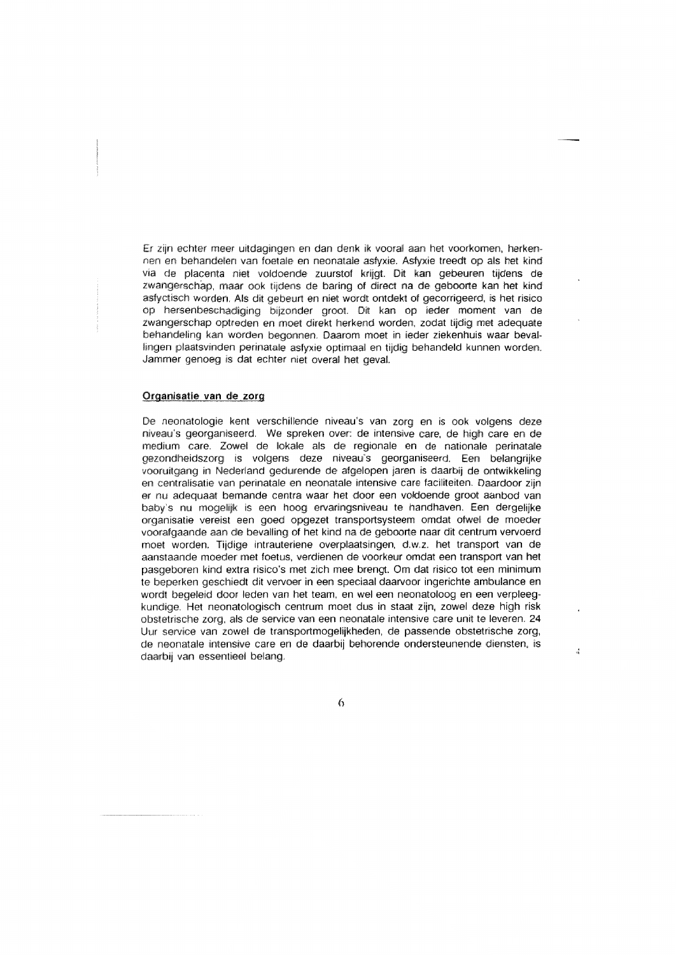Er zijn echter meer uitdagingen en dan denk ik vooral aan het voorkomen, herkennen en behandelen van foetale en neonatale asfyxie. Asfyxie treedt op als het kind via de placenta niet voldoende zuurstof krijgt. Dit kan gebeuren tijdens de zwangerschap, maar ook tijdens de baring of direct na de geboorte kan het kind asfyctisch worden. Als dit gebeurt en niet wordt ontdekt of gecorrigeerd, is het risico op hersenbeschadiging bijzonder groot. Dit kan op ieder moment van de zwangerschap optreden en moet direkt herkend worden, zodat tijdig met adequate behandeling kan worden begonnen. Daarom moet in ieder ziekenhuis waar bevallingen plaatsvinden perinatale asfyxie optimaal en tijdig behandeld kunnen worden. Jammer genoeg is dat echter niet overal het geval.

#### Organisatie van de zorg

De neonatologie kent verschillende niveau's van zorg en is ook volgens deze niveau's georganiseerd. We spreken over: de intensive care, de high care en de medium care. Zowel de lokale als de regionale en de nationale perinatale gezondheidszorg is volgens deze niveau's georganiseerd. Een belangrijke vooruitgang in Nederland gedurende de afgelopen jaren is daarbij de ontwikkeling en centralisatie van perinatale en neonatale intensive care faciliteiten. Daardoor zijn er nu adequaat bemande centra waar het door een voldoende groot aanbod van baby's nu mogelijk is een hoog ervaringsniveau te handhaven. Een dergelijke organisatie vereist een goed opgezet transportsysteem omdat ofwel de moeder voorafgaande aan de bevalling of het kind na de geboorte naar dit centrum vervoerd moet worden. Tijdige intrauteriene overplaatsingen, d.w.z. het transport van de aanstaande moeder met foetus, verdienen de voorkeur omdat een transport van het pasgeboren kind extra risico's met zich mee brengt. Om dat risico tot een minimum te beperken geschiedt dit vervoer in een speciaal daarvoor ingerichte ambulance en wordt begeleid door leden van het team, en wel een neonatoloog en een verpleegkundige. Het neonatologisch centrum moet dus in staat zijn, zowel deze high risk obstetrische zorg, als de service van een neonatale intensive care unit te leveren. 24 Uur service van zowel de transportmogelijkheden, de passende obstetrische zorg, de neonatale intensive care en de daarbij behorende ondersteunende diensten. is daarbii van essentieel beland.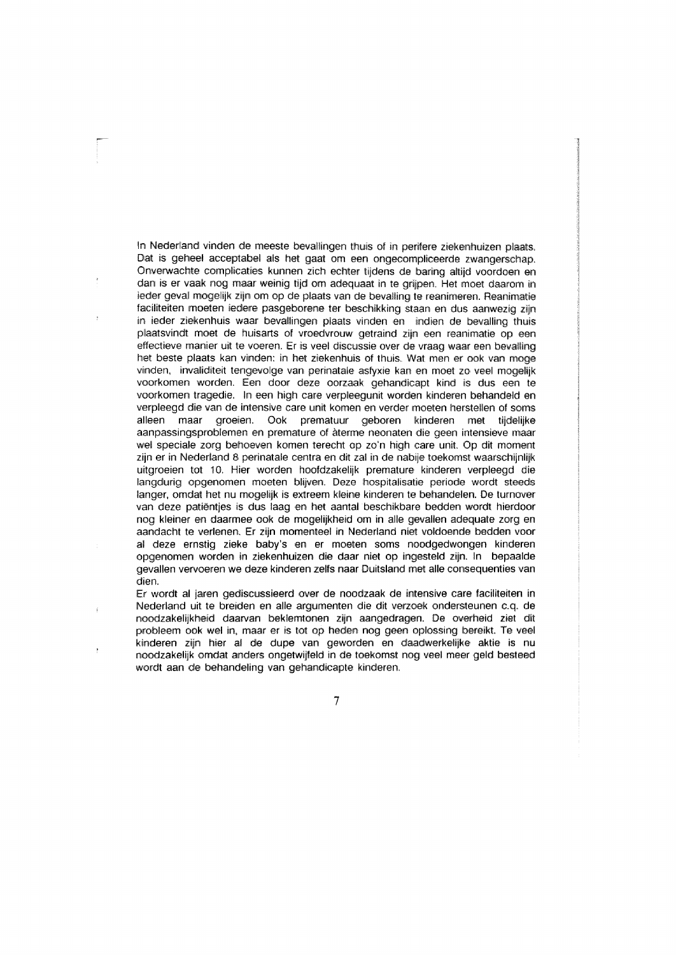In Nederland vinden de meeste bevallingen thuis of in perifere ziekenhuizen plaats. Dat is geheel acceptabel als het gaat om een ongecompliceerde zwangerschap. Onverwachte complicaties kunnen zich echter tijdens de baring altijd voordoen en dan is er vaak nog maar weinig tijd om adequaat in te grijpen. Het moet daarom in ieder geval mogelijk zijn om op de plaats van de bevalling te reanimeren. Reanimatie faciliteiten moeten iedere pasgeborene ter beschikking staan en dus aanwezig zijn in ieder ziekenhuis waar bevallingen plaats vinden en indien de bevalling thuis plaatsvindt moet de huisarts of vroedvrouw getraind zijn een reanimatie op een effectieve manier uit te voeren. Er is veel discussie over de vraag waar een bevalling het beste plaats kan vinden: in het ziekenhuis of thuis. Wat men er ook van moge vinden, invaliditeit tengevolge van perinatale asfyxie kan en moet zo veel mogelijk voorkomen worden. Een door deze oorzaak gehandicapt kind is dus een te voorkomen tragedie. In een high care verpleegunit worden kinderen behandeld en verpleegd die van de intensive care unit komen en verder moeten herstellen of soms alleen maar groeien. Ook prematuur *geboren* kinderen met tiideliike aanpassingsproblemen en premature of àterme neonaten die geen intensieve maar wel speciale zorg behoeven komen terecht op zo'n high care unit. Op dit moment zijn er in Nederland 8 perinatale centra en dit zal in de nabije toekomst waarschijnlijk uitgroeien tot 10. Hier worden hoofdzakelijk premature kinderen verpleegd die langdurig opgenomen moeten blijven. Deze hospitalisatie periode wordt steeds langer, omdat het nu mogelijk is extreem kleine kinderen te behandelen. De turnover van deze patiënties is dus laag en het aantal beschikbare bedden wordt hierdoor nog kleiner en daarmee ook de mogelijkheid om in alle gevallen adequate zorg en aandacht te verlenen. Er zijn momenteel in Nederland niet voldoende bedden voor al deze ernstig zieke baby's en er moeten soms noodgedwongen kinderen opgenomen worden in ziekenhuizen die daar niet op ingesteld zijn. In bepaalde gevallen vervoeren we deze kinderen zelfs naar Duitsland met alle consequenties van dien.

Er wordt al jaren gediscussieerd over de noodzaak de intensive care faciliteiten in Nederland uit te breiden en alle argumenten die dit verzoek ondersteunen c.q. de noodzakelijkheid daarvan beklemtonen zijn aangedragen. De overheid ziet dit probleem ook wel in, maar er is tot op heden nog geen oplossing bereikt. Te veel kinderen zijn hier al de dupe van geworden en daadwerkelijke aktie is nu noodzakelijk omdat anders ongetwijfeld in de toekomst nog veel meer geld besteed wordt aan de behandeling van gehandicapte kinderen.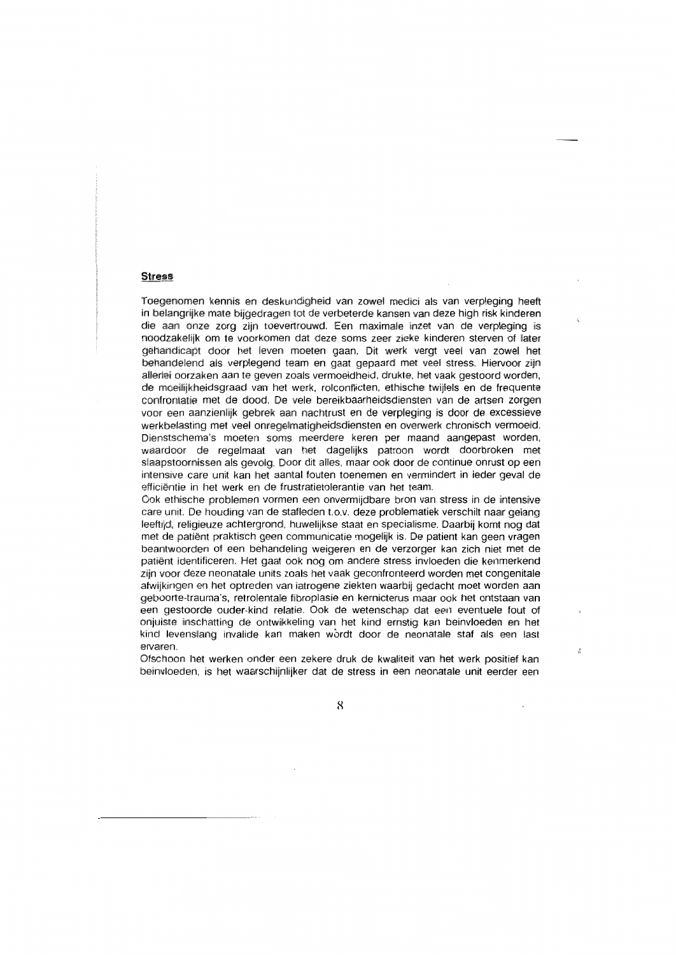## **Stress**

Toegenomen kennis en deskundigheid van zowel medici als van verpleging heeft in belangrijke mate bijgedragen tot de verbeterde kansen van deze high risk kinderen die aan onze zorg zijn toevertrouwd. Een maximale inzet van de verpleging is noodzakelijk om te voorkomen dat deze soms zeer zieke kinderen sterven of later gehandicapt door het leven moeten gaan. Dit werk vergt veel van zowel het behandelend als verplegend team en gaat gepaard met veel stress. Hiervoor zijn allerlei oorzaken aan te geven zoals vermoeidheid, drukte, het vaak gestoord worden, de moeilijkheidsgraad van het werk, rolconflicten, ethische twijfels en de frequente confrontatie met de dood. De vele bereikbaarheidsdiensten van de artsen zorgen voor een aanzienlijk gebrek aan nachtrust en de verpleging is door de excessieve werkbelasting met veel onregelmatigheidsdiensten en overwerk chronisch vermoeid. Dienstschema's moeten soms meerdere keren per maand aangepast worden, waardoor de regelmaat van het dagelijks patroon wordt doorbroken met slaapstoornissen als gevolg. Door dit alles, maar ook door de continue onrust op een intensive care unit kan het aantal fouten toenemen en vermindert in jeder geval de efficiëntie in het werk en de frustratietolerantie van het team.

Ook ethische problemen vormen een onvermijdbare bron van stress in de intensive care unit. De houding van de stafleden t.o.v. deze problematiek verschilt naar gelang leeftijd, religieuze achtergrond, huwelijkse staat en specialisme. Daarbij komt nog dat met de patiënt praktisch geen communicatie mogelijk is. De patient kan geen vragen beantwoorden of een behandeling weigeren en de verzorger kan zich niet met de patiënt identificeren. Het gaat ook nog om andere stress invloeden die kenmerkend zijn voor deze neonatale units zoals het vaak geconfronteerd worden met congenitale afwijkingen en het optreden van iatrogene ziekten waarbij gedacht moet worden aan geboorte-trauma's, retrolentale fibroplasie en kernicterus maar ook het ontstaan van een gestoorde ouder-kind relatie. Ook de wetenschap dat een eventuele fout of onjuiste inschatting de ontwikkeling van het kind ernstig kan beinvloeden en het kind levenslang invalide kan maken wordt door de neonatale staf als een last ervaren.

Ofschoon het werken onder een zekere druk de kwaliteit van het werk positief kan beinvloeden, is het waarschijnlijker dat de stress in een neonatale unit eerder een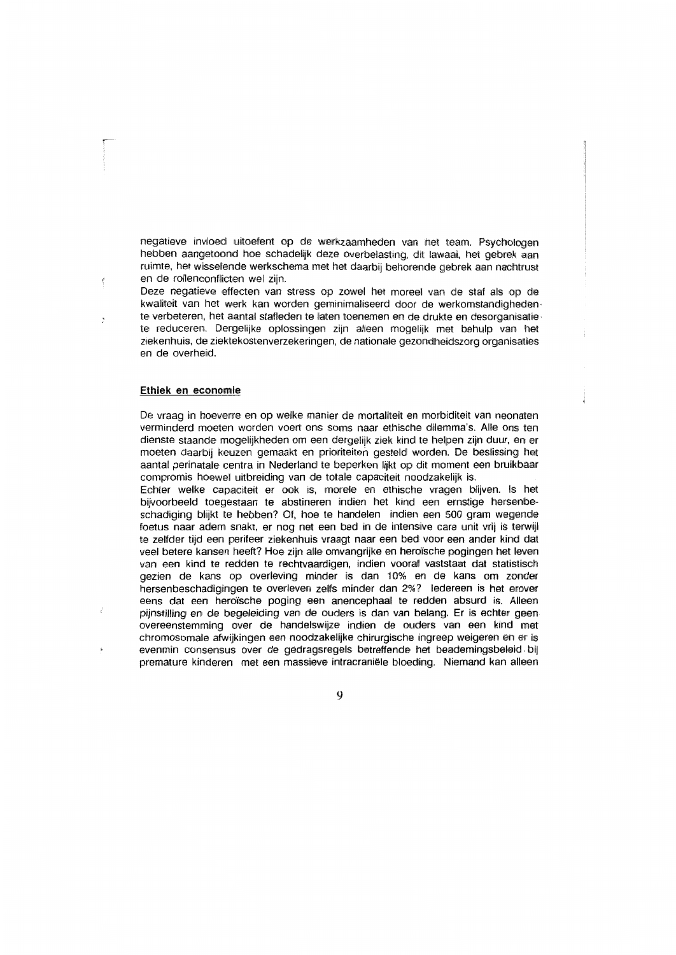negatieve invloed uitoefent op de werkzaamheden van het team. Psychologen hebben aangetoond hoe schadelijk deze overbelasting, dit lawaai, het gebrek aan ruimte, het wisselende werkschema met het daarbij behorende gebrek aan nachtrust en de rollenconflicten wel zijn.

Deze negatieve effecten van stress op zowel het moreel van de staf als op de kwaliteit van het werk kan worden geminimaliseerd door de werkomstandigheden te verbeteren, het aantal stafleden te laten toenemen en de drukte en desorganisatiete reduceren. Dergelijke oplossingen zijn alleen mogelijk met behulp van het ziekenhuis, de ziektekostenverzekeringen, de nationale gezondheidszorg organisaties en de overheid.

## Ethiek en economie

De vraag in hoeverre en op welke manier de mortaliteit en morbiditeit van neonaten verminderd moeten worden voert ons soms naar ethische dilemma's. Alle ons ten dienste staande mogelijkheden om een dergelijk ziek kind te helpen zijn duur, en er moeten daarbij keuzen gemaakt en prioriteiten gesteld worden. De beslissing het aantal perinatale centra in Nederland te beperken lijkt op dit moment een bruikbaar compromis hoewel uitbreiding van de totale capaciteit noodzakelijk is.

Echter welke capaciteit er ook is, morele en ethische vragen blijven, Is het bijvoorbeeld toegestaan te abstineren indien het kind een ernstige hersenbeschadiging blijkt te hebben? Of, hoe te handelen indien een 500 gram wegende foetus naar adem snakt, er nog net een bed in de intensive care unit vrij is terwijl te zelfder tijd een perifeer ziekenhuis vraagt naar een bed voor een ander kind dat veel betere kansen heeft? Hoe zijn alle omvangrijke en heroïsche pogingen het leven van een kind te redden te rechtvaardigen, indien vooraf vaststaat dat statistisch gezien de kans op overleving minder is dan 10% en de kans om zonder hersenbeschadigingen te overleven zelfs minder dan 2%? ledereen is het erover eens dat een heroïsche poging een anencephaal te redden absurd is. Alleen piinstilling en de begeleiding van de ouders is dan van belang. Er is echter geen overeenstemming over de handelswijze indien de ouders van een kind met chromosomale afwijkingen een noodzakelijke chirurgische ingreep weigeren en er is evenmin consensus over de gedragsregels betreffende het beademingsbeleid bij premature kinderen met een massieve intracraniële bloeding. Niemand kan alleen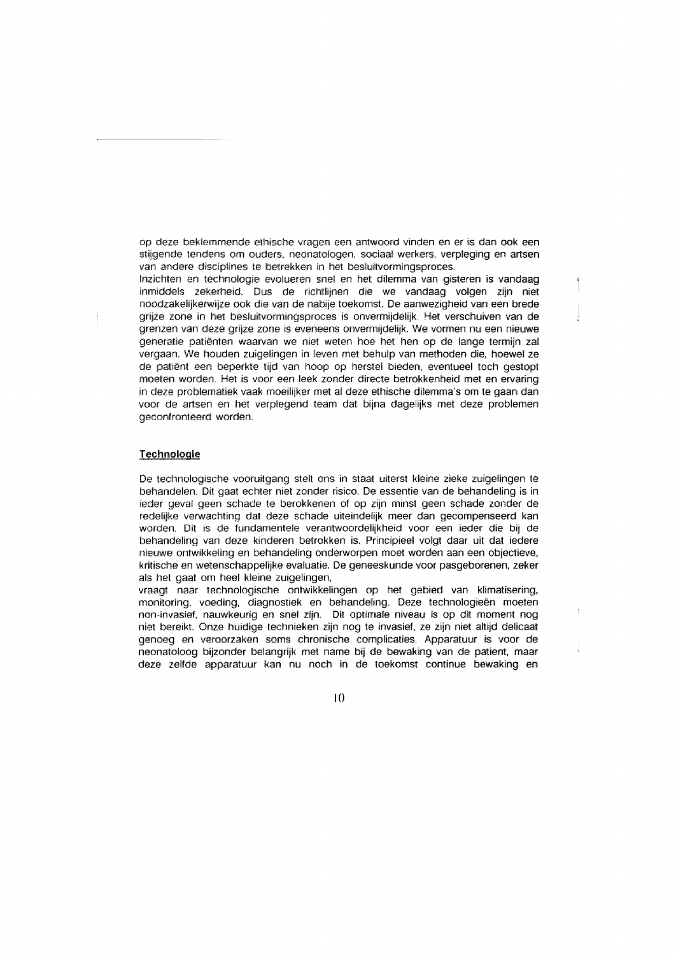op deze beklemmende ethische vragen een antwoord vinden en er is dan ook een stijgende tendens om ouders, neonatologen, sociaal werkers, verpleging en artsen van andere disciplines te betrekken in het besluitvormingsproces.

Inzichten en technologie evolueren snel en het dilemma van gisteren is vandaag inmiddels zekerheid. Dus de richtlijnen die we vandaag volgen zijn niet noodzakelijkerwijze ook die van de nabije toekomst. De aanwezigheid van een brede grijze zone in het besluitvormingsproces is onvermijdelijk. Het verschuiven van de grenzen van deze grijze zone is eveneens onvermijdelijk. We vormen nu een nieuwe generatie patiënten waarvan we niet weten hoe het hen op de lange termijn zal vergaan. We houden zuigelingen in leven met behulp van methoden die, hoewel ze de patiënt een beperkte tijd van hoop op herstel bieden, eventueel toch gestopt moeten worden. Het is voor een leek zonder directe betrokkenheid met en ervaring in deze problematiek vaak moeilijker met al deze ethische dilemma's om te gaan dan voor de artsen en het verplegend team dat bijna dagelijks met deze problemen geconfronteerd worden.

## Technologie

De technologische vooruitgang stelt ons in staat uiterst kleine zieke zuigelingen te behandelen. Dit gaat echter niet zonder risico. De essentie van de behandeling is in ieder geval geen schade te berokkenen of op zijn minst geen schade zonder de redelijke verwachting dat deze schade uiteindelijk meer dan gecompenseerd kan worden. Dit is de fundamentele verantwoordelijkheid voor een ieder die bij de behandeling van deze kinderen betrokken is. Principieel volgt daar uit dat iedere nieuwe ontwikkeling en behandeling onderworpen moet worden aan een objectieve, kritische en wetenschappelijke evaluatie. De geneeskunde voor pasgeborenen, zeker als het gaat om heel kleine zuigelingen.

vraagt naar technologische ontwikkelingen op het gebied van klimatisering, monitoring, voeding, diagnostiek en behandeling. Deze technologieën moeten non-invasief, nauwkeurig en snel zijn. Dit optimale niveau is op dit moment nog niet bereikt. Onze huidige technieken zijn nog te invasief, ze zijn niet altijd delicaat genoeg en veroorzaken soms chronische complicaties. Apparatuur is voor de neonatoloog bijzonder belangrijk met name bij de bewaking van de patient, maar deze zelfde apparatuur kan nu noch in de toekomst continue bewaking en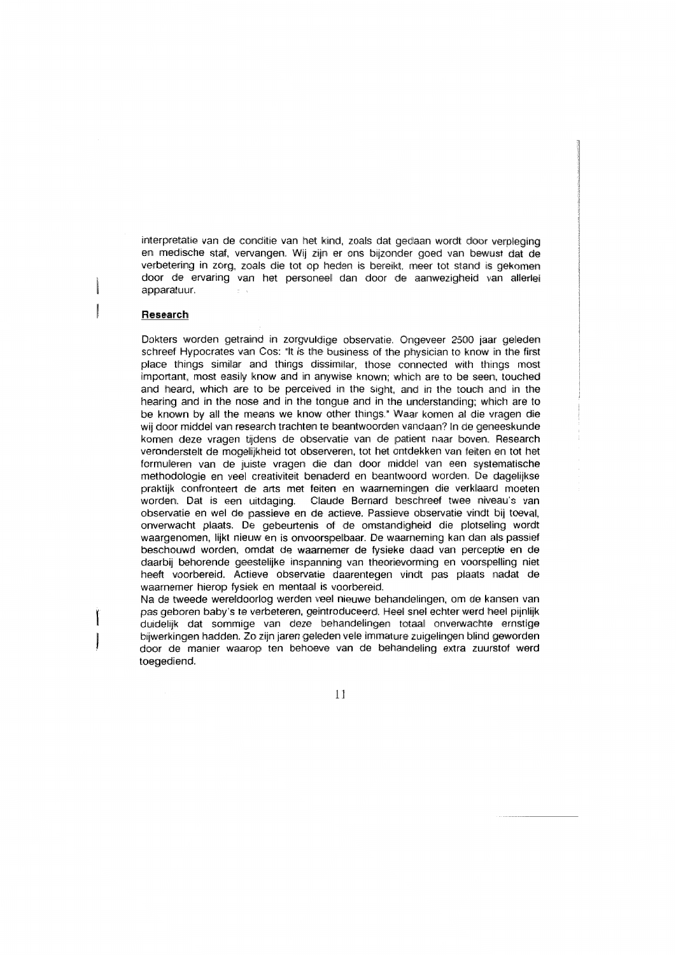interpretatie van de conditie van het kind, zoals dat gedaan wordt door verpleging en medische staf, vervangen. Wij zijn er ons bijzonder goed van bewust dat de verbetering in zorg, zoals die tot op heden is bereikt, meer tot stand is gekomen door de ervaring van het personeel dan door de aanwezigheid van allerlei apparatuur.

#### Research

Dokters worden getraind in zorgvuldige observatie. Ongeveer 2500 jaar geleden schreef Hypocrates van Cos: "It is the business of the physician to know in the first place things similar and things dissimilar, those connected with things most important, most easily know and in anywise known; which are to be seen, touched and heard, which are to be perceived in the sight, and in the touch and in the hearing and in the nose and in the tongue and in the understanding: which are to be known by all the means we know other things." Waar komen al die vragen die wij door middel van research trachten te beantwoorden vandaan? In de geneeskunde komen deze vragen tijdens de observatie van de patient naar boven. Research veronderstelt de mogelijkheid tot observeren, tot het ontdekken van feiten en tot het formuleren van de juiste vragen die dan door middel van een systematische methodologie en veel creativiteit benaderd en beantwoord worden. De dagelijkse praktijk confronteert de arts met feiten en waarnemingen die verklaard moeten worden. Dat is een uitdaging. Claude Bernard beschreef twee niveau's van observatie en wel de passieve en de actieve. Passieve observatie vindt bij toeval. onverwacht plaats. De gebeurtenis of de omstandigheid die plotseling wordt waargenomen, lijkt nieuw en is onvoorspelbaar. De waarneming kan dan als passief beschouwd worden, omdat de waarnemer de fysieke daad van perceptie en de daarbij behorende geestelijke inspanning van theorievorming en voorspelling niet heeft voorbereid. Actieve observatie daarentegen vindt pas plaats nadat de waarnemer hierop fysiek en mentaal is voorbereid.

Na de tweede wereldoorlog werden veel nieuwe behandelingen, om de kansen van pas geboren baby's te verbeteren, geintroduceerd. Heel snel echter werd heel pijnlijk duidelijk dat sommige van deze behandelingen totaal onverwachte ernstige bijwerkingen hadden. Zo zijn jaren geleden vele immature zuigelingen blind geworden door de manier waarop ten behoeve van de behandeling extra zuurstof werd toegediend.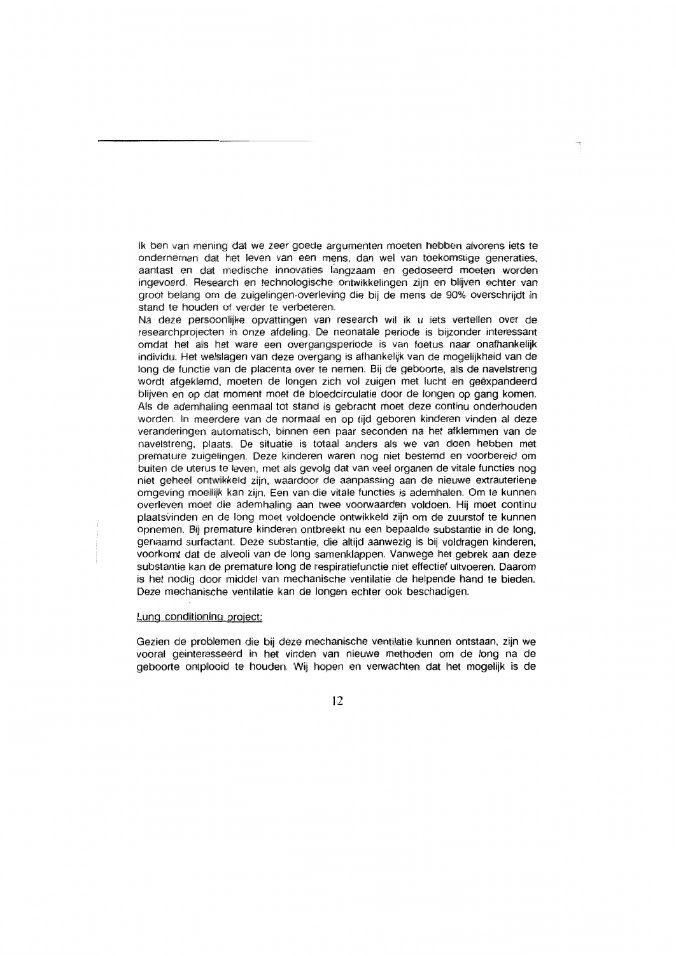Ik ben van mening dat we zeer goede argumenten moeten hebben alvorens iets te ondernemen dat het leven van een mens, dan wel van toekomstige generaties, aantast en dat medische innovaties langzaam en gedoseerd moeten worden ingevoerd. Research en technologische ontwikkelingen zijn en blijven echter van groot belang om de zuigelingen-overleving die bij de mens de 90% overschrijdt in stand te houden of verder te verbeteren.

Na deze persoonlijke opvattingen van research wil ik u iets vertellen over de researchprojecten in onze afdeling. De neonatale periode is bijzonder interessant omdat het als het ware een overgangsperiode is van foetus naar onafhankelijk individu. Het welslagen van deze overgang is afhankelijk van de mogelijkheid van de long de functie van de placenta over te nemen. Bij de geboorte, als de navelstreng wordt afgeklemd, moeten de longen zich vol zuigen met lucht en geëxpandeerd blijven en op dat moment moet de bloedcirculatie door de longen op gang komen. Als de ademhaling eenmaal tot stand is gebracht moet deze continu onderhouden worden. In meerdere van de normaal en op tijd geboren kinderen vinden al deze veranderingen automatisch, binnen een paar seconden na het afklemmen van de navelstreng, plaats. De situatie is totaal anders als we van doen hebben met premature zuigelingen. Deze kinderen waren nog niet bestemd en voorbereid om buiten de uterus te leven, met als gevolg dat van veel organen de vitale functies nog niet geheel ontwikkeld zijn, waardoor de aanpassing aan de nieuwe extrauteriene omgeving moeilijk kan zijn. Een van die vitale functies is ademhalen. Om te kunnen overleven moet die ademhaling aan twee voorwaarden voldoen. Hij moet continu plaatsvinden en de long moet voldoende ontwikkeld zijn om de zuurstof te kunnen opnemen. Bij premature kinderen ontbreekt nu een bepaalde substantie in de long, genaamd surfactant. Deze substantie, die altijd aanwezig is bij voldragen kinderen, voorkomt dat de alveoli van de long samenklappen. Vanwege het gebrek aan deze substantie kan de premature long de respiratiefunctie niet effectief uitvoeren. Daarom is het nodig door middel van mechanische ventilatie de helpende hand te bieden. Deze mechanische ventilatie kan de longen echter ook beschadigen.

#### Lung conditioning project:

Gezien de problemen die bij deze mechanische ventilatie kunnen ontstaan, zijn we vooral geinteresseerd in het vinden van nieuwe methoden om de long na de geboorte ontplooid te houden. Wij hopen en verwachten dat het mogelijk is de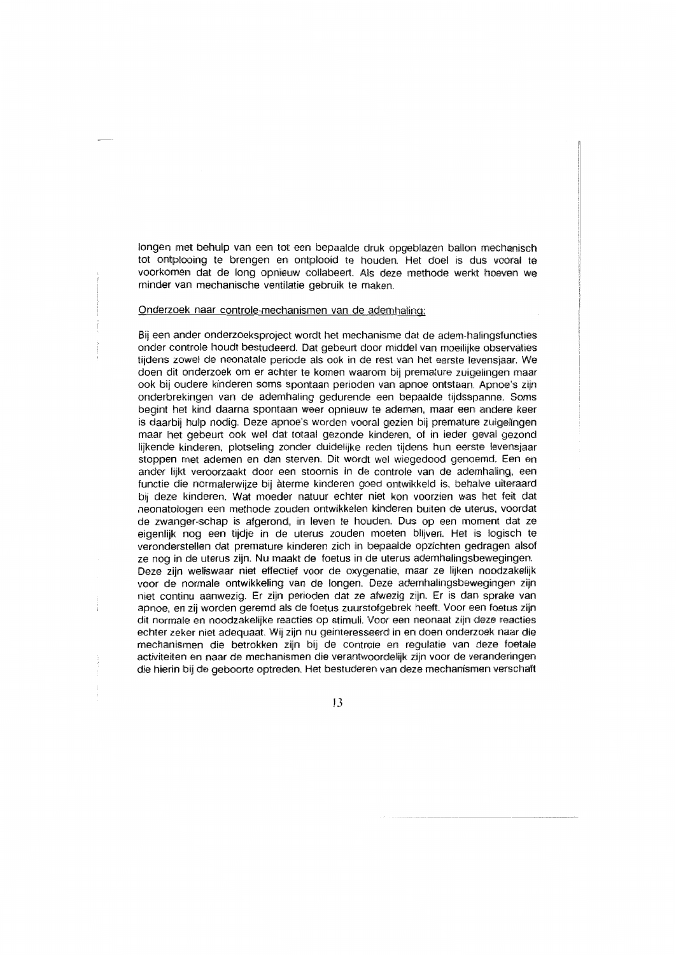longen met behulp van een tot een bepaalde druk opgeblazen ballon mechanisch tot ontplooing te brengen en ontplooid te houden. Het doel is dus vooral te voorkomen dat de long opnieuw collabeert. Als deze methode werkt hoeven we minder van mechanische ventilatie gebruik te maken.

#### Onderzoek naar controle-mechanismen van de ademhaling:

Bij een ander onderzoeksproject wordt het mechanisme dat de adem-halingsfuncties onder controle houdt bestudeerd. Dat gebeurt door middel van moeilijke observaties tijdens zowel de neonatale periode als ook in de rest van het eerste levensjaar. We doen dit onderzoek om er achter te komen waarom bij premature zuigelingen maar ook bij oudere kinderen soms spontaan perioden van apnoe ontstaan. Apnoe's zijn onderbrekingen van de ademhaling gedurende een bepaalde tijdsspanne. Soms begint het kind daarna spontaan weer opnieuw te ademen, maar een andere keer is daarbij hulp nodig. Deze apnoe's worden vooral gezien bij premature zuigelingen maar het gebeurt ook wel dat totaal gezonde kinderen, of in ieder geval gezond lijkende kinderen, plotseling zonder duidelijke reden tijdens hun eerste levensjaar stoppen met ademen en dan sterven. Dit wordt wel wiegedood genoemd. Een en ander lijkt veroorzaakt door een stoornis in de controle van de ademhaling, een functie die normalerwijze bij àterme kinderen goed ontwikkeld is, behalve uiteraard bij deze kinderen. Wat moeder natuur echter niet kon voorzien was het feit dat neonatologen een methode zouden ontwikkelen kinderen buiten de uterus, voordat de zwanger-schap is afgerond, in leven te houden. Dus op een moment dat ze eigenlijk nog een tijdje in de uterus zouden moeten blijven. Het is logisch te veronderstellen dat premature kinderen zich in bepaalde opzichten gedragen alsof ze nog in de uterus zijn. Nu maakt de foetus in de uterus ademhalingsbewegingen. Deze zijn weliswaar niet effectief voor de oxygenatie, maar ze lijken noodzakelijk voor de normale ontwikkeling van de longen. Deze ademhalingsbewegingen zijn niet continu aanwezig. Er zijn perioden dat ze afwezig zijn. Er is dan sprake van apnoe, en zij worden geremd als de foetus zuurstofgebrek heeft. Voor een foetus zijn dit normale en noodzakelijke reacties op stimuli. Voor een neonaat zijn deze reacties echter zeker niet adequaat. Wij zijn nu geinteresseerd in en doen onderzoek naar die mechanismen die betrokken zijn bij de controle en regulatie van deze foetale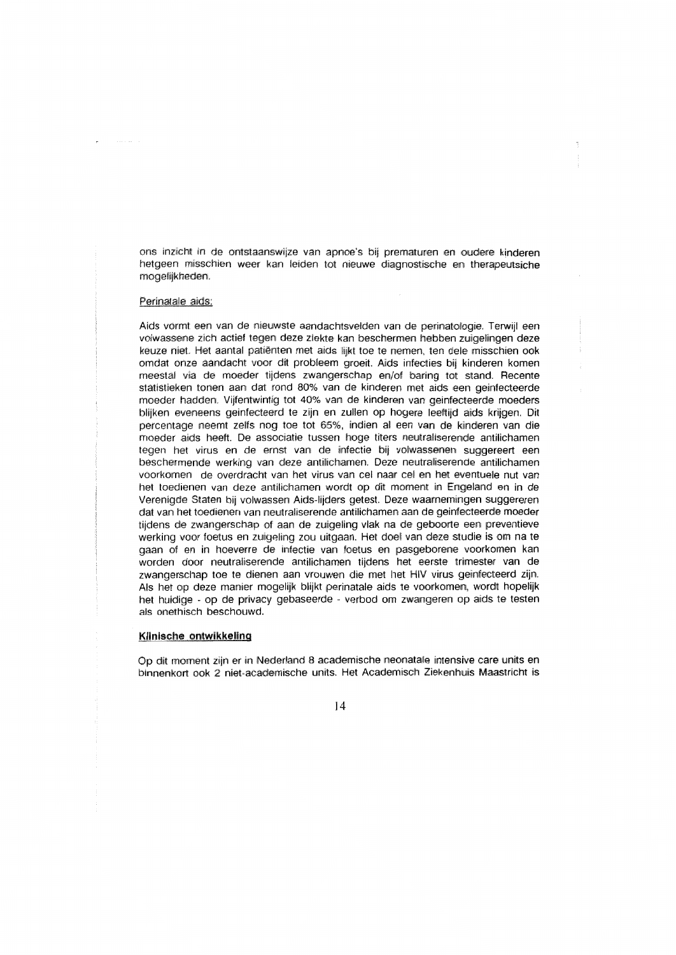ons inzicht in de ontstaanswijze van apnoe's bij prematuren en oudere kinderen hetgeen misschien weer kan leiden tot nieuwe diagnostische en therapeutsiche mogelijkheden.

### Perinatale aids:

Aids vormt een van de nieuwste aandachtsvelden van de perinatologie. Terwijl een volwassene zich actief tegen deze ziekte kan beschermen hebben zuigelingen deze keuze niet. Het aantal patiënten met aids lijkt toe te nemen, ten dele misschien ook omdat onze aandacht voor dit probleem groeit. Aids infecties bij kinderen komen meestal via de moeder tijdens zwangerschap en/of baring tot stand. Recente statistieken tonen aan dat rond 80% van de kinderen met aids een geinfecteerde moeder hadden. Vijfentwintig tot 40% van de kinderen van geinfecteerde moeders blijken eveneens geinfecteerd te zijn en zullen op hogere leeftijd aids krijgen. Dit percentage neemt zelfs nog toe tot 65%, indien al een van de kinderen van die moeder aids heeft. De associatie tussen hoge titers neutraliserende antilichamen tegen het virus en de ernst van de infectie bij volwassenen suggereert een beschermende werking van deze antilichamen. Deze neutraliserende antilichamen voorkomen de overdracht van het virus van cel naar cel en het eventuele nut van het toedienen van deze antilichamen wordt op dit moment in Engeland en in de Verenigde Staten bij volwassen Aids-lijders getest. Deze waarnemingen suggereren dat van het toedienen van neutraliserende antilichamen aan de geinfecteerde moeder tijdens de zwangerschap of aan de zuigeling vlak na de geboorte een preventieve werking voor foetus en zuigeling zou uitgaan. Het doel van deze studie is om na te gaan of en in hoeverre de infectie van foetus en pasgeborene voorkomen kan worden door neutraliserende antilichamen tijdens het eerste trimester van de zwangerschap toe te dienen aan vrouwen die met het HIV virus geinfecteerd zijn. Als het op deze manier mogelijk blijkt perinatale aids te voorkomen, wordt hopelijk het huidige - op de privacy gebaseerde - verbod om zwangeren op aids te testen als onethisch beschouwd.

## Klinische ontwikkeling

Op dit moment zijn er in Nederland 8 academische neonatale intensive care units en binnenkort ook 2 niet-academische units. Het Academisch Ziekenhuis Maastricht is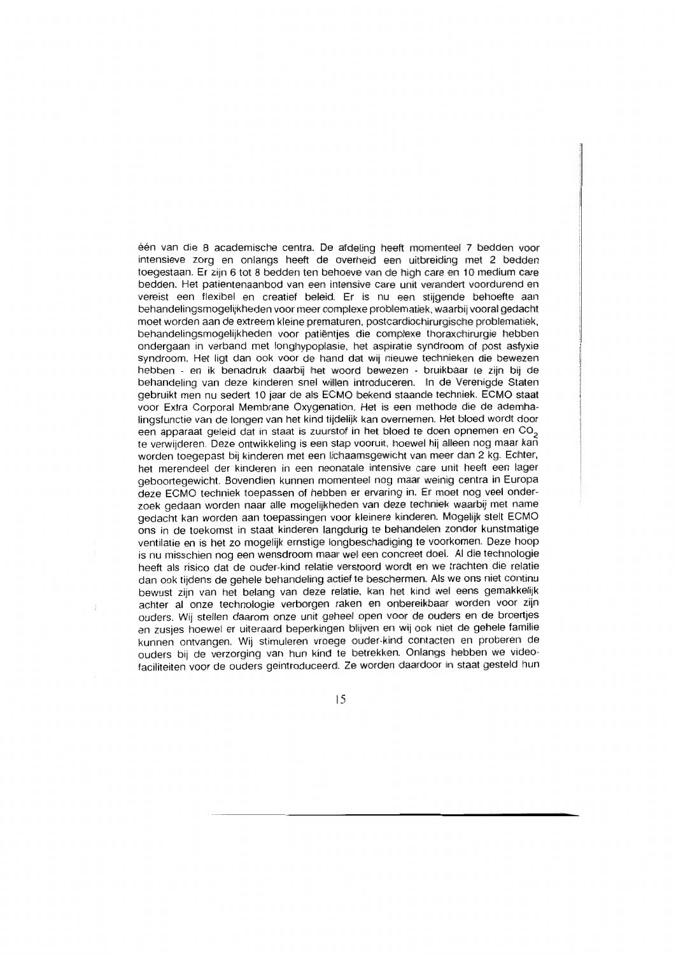één van die 8 academische centra. De afdeling heeft momenteel 7 bedden voor intensieve zorg en onlangs heeft de overheid een uitbreiding met 2 bedden toegestaan. Er zijn 6 tot 8 bedden ten behoeve van de high care en 10 medium care bedden. Het patientenaanbod van een intensive care unit verandert voordurend en vereist een flexibel en creatief beleid. Er is nu een stijgende behoefte aan behandelingsmogelijkheden voor meer complexe problematiek, waarbij vooral gedacht moet worden aan de extreem kleine prematuren, postcardiochirurgische problematiek, behandelingsmogelijkheden voor patiënties die complexe thoraxchirurgie hebben ondergaan in verband met longhypoplasie, het aspiratie syndroom of post asfyxie syndroom. Het ligt dan ook voor de hand dat wij nieuwe technieken die bewezen hebben - en ik benadruk daarbij het woord bewezen - bruikbaar te zijn bij de behandeling van deze kinderen snel willen introduceren. In de Verenigde Staten gebruikt men nu sedert 10 jaar de als ECMO bekend staande techniek. ECMO staat voor Extra Corporal Membrane Oxygenation. Het is een methode die de ademhalingsfunctie van de longen van het kind tijdelijk kan overnemen. Het bloed wordt door een apparaat geleid dat in staat is zuurstof in het bloed te doen opnemen en CO<sub>2</sub> te verwijderen. Deze ontwikkeling is een stap vooruit, hoewel hij alleen nog maar kan worden toegepast bij kinderen met een lichaamsgewicht van meer dan 2 kg. Echter, het merendeel der kinderen in een neonatale intensive care unit heeft een lager geboortegewicht. Bovendien kunnen momenteel nog maar weinig centra in Europa deze ECMO techniek toepassen of hebben er ervaring in. Er moet nog veel onderzoek gedaan worden naar alle mogelijkheden van deze techniek waarbij met name gedacht kan worden aan toepassingen voor kleinere kinderen. Mogelijk stelt ECMO ons in de toekomst in staat kinderen langdurig te behandelen zonder kunstmatige ventilatie en is het zo mogelijk ernstige longbeschadiging te voorkomen. Deze hoop is nu misschien nog een wensdroom maar wel een concreet doel. Al die technologie heeft als risico dat de ouder-kind relatie verstoord wordt en we trachten die relatie dan ook tijdens de gehele behandeling actief te beschermen. Als we ons niet continu bewust zijn van het belang van deze relatie, kan het kind wel eens gemakkelijk achter al onze technologie verborgen raken en onbereikbaar worden voor zijn ouders. Wij stellen daarom onze unit geheel open voor de ouders en de broertjes en zusjes hoewel er uiteraard beperkingen blijven en wij ook niet de gehele familie kunnen ontvangen. Wij stimuleren vroege ouder-kind contacten en proberen de ouders bij de verzorging van hun kind te betrekken. Onlangs hebben we videofaciliteiten voor de ouders geintroduceerd. Ze worden daardoor in staat gesteld hun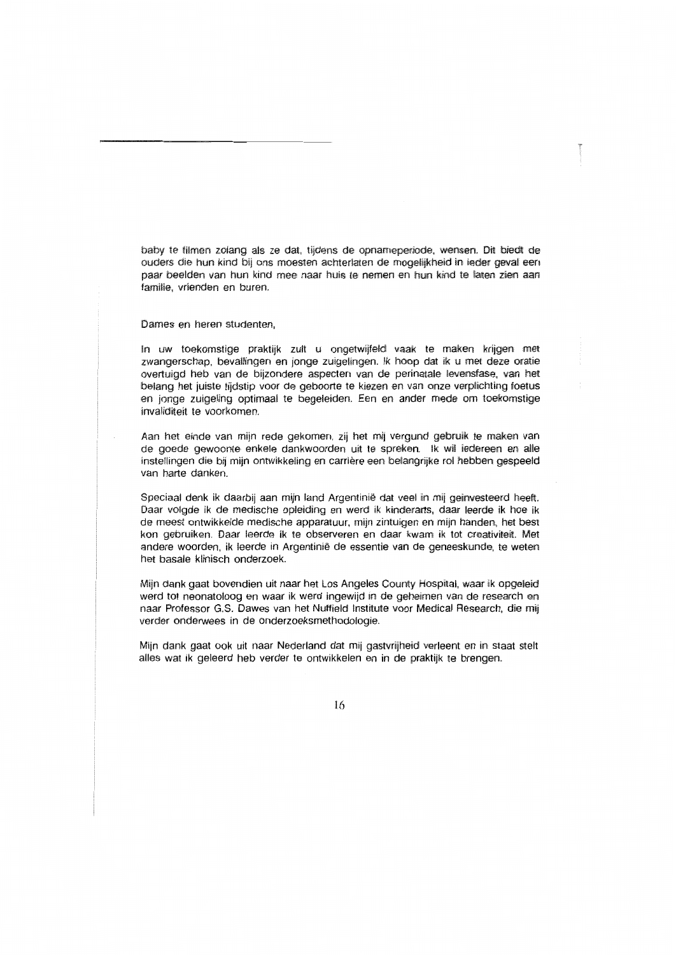baby te filmen zolang als ze dat, tijdens de opnameperiode, wensen. Dit biedt de ouders die hun kind bij ons moesten achterlaten de mogelijkheid in ieder geval een paar beelden van hun kind mee naar huis te nemen en hun kind te laten zien aan familie, vrienden en buren.

Dames en heren studenten.

In uw toekomstige praktijk zult u ongetwijfeld vaak te maken krijgen met zwangerschap, bevallingen en jonge zuigelingen. Ik hoop dat ik u met deze oratie overtuigd heb van de bijzondere aspecten van de perinatale levensfase, van het belang het juiste tijdstip voor de geboorte te kiezen en van onze verplichting foetus en jonge zuigeling optimaal te begeleiden. Een en ander mede om toekomstige invaliditeit te voorkomen

Aan het einde van mijn rede gekomen, zij het mij vergund gebruik te maken van de goede gewoonte enkele dankwoorden uit te spreken. Ik wil iedereen en alle instellingen die bij mijn ontwikkeling en carrière een belangrijke rol hebben gespeeld van harte danken.

Speciaal denk ik daarbij aan mijn land Argentinië dat veel in mij geinvesteerd heeft. Daar volgde ik de medische opleiding en werd ik kinderarts, daar leerde ik hoe ik de meest ontwikkelde medische apparatuur, mijn zintuigen en mijn handen, het best kon gebruiken. Daar leerde ik te observeren en daar kwam ik tot creativiteit. Met andere woorden, ik leerde in Argentinië de essentie van de geneeskunde, te weten het basale klinisch onderzoek.

Mijn dank gaat bovendien uit naar het Los Angeles County Hospital, waar ik opgeleid werd tot neonatoloog en waar ik werd ingewijd in de geheimen van de research en naar Professor G.S. Dawes van het Nuffield Institute voor Medical Research, die mij verder onderwees in de onderzoeksmethodologie.

Mijn dank gaat ook uit naar Nederland dat mij gastvrijheid verleent en in staat stelt alles wat ik geleerd heb verder te ontwikkelen en in de praktijk te brengen.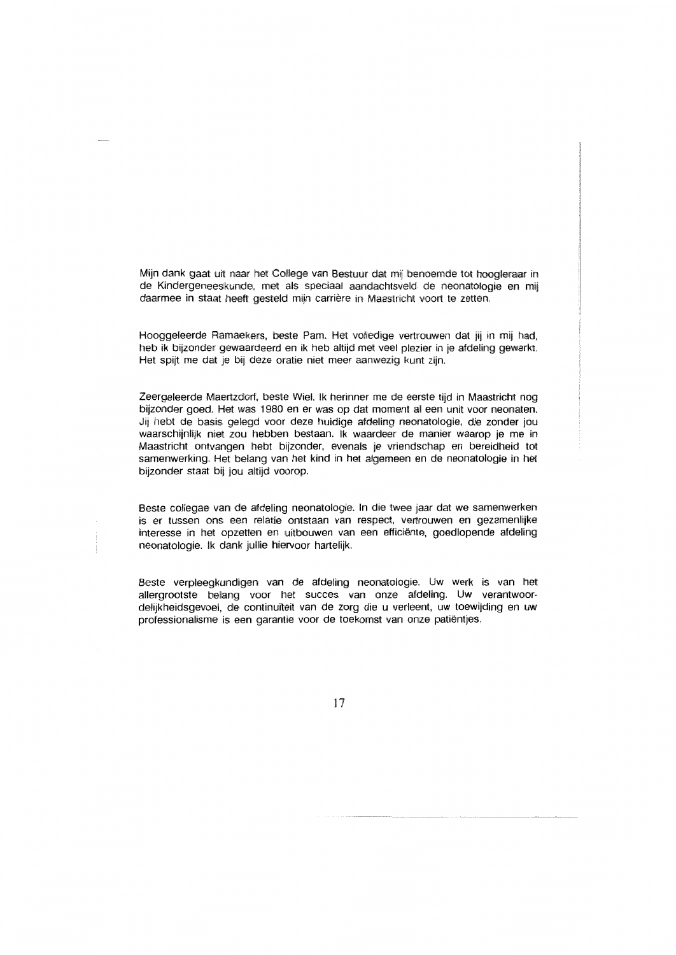Mijn dank gaat uit naar het College van Bestuur dat mij benoemde tot hoogleraar in de Kindergeneeskunde, met als speciaal aandachtsveld de neonatologie en mij daarmee in staat heeft gesteld mijn carrière in Maastricht voort te zetten.

Hooggeleerde Ramaekers, beste Pam. Het volledige vertrouwen dat jij in mij had, heb ik biizonder gewaardeerd en ik heb altijd met veel plezier in ie afdeling gewerkt. Het spijt me dat je bij deze oratie niet meer aanwezig kunt zijn.

Zeergeleerde Maertzdorf, beste Wiel. Ik herinner me de eerste tijd in Maastricht nog bijzonder goed. Het was 1980 en er was op dat moment al een unit voor neonaten. Jij hebt de basis gelegd voor deze huidige afdeling neonatologie, die zonder jou waarschijnlijk niet zou hebben bestaan. Ik waardeer de manier waarop je me in Maastricht ontvangen hebt bijzonder, evenals je vriendschap en bereidheid tot samenwerking. Het belang van het kind in het algemeen en de neonatologie in het biizonder staat bii iou altiid voorop.

Beste collegae van de afdeling neonatologie. In die twee jaar dat we samenwerken is er tussen ons een relatie ontstaan van respect, vertrouwen en gezamenlijke interesse in het opzetten en uitbouwen van een efficiënte, goedlopende afdeling neonatologie. Ik dank julije hiervoor hartelijk.

Beste verpleegkundigen van de afdeling neonatologie. Uw werk is van het allergrootste belang voor het succes van onze afdeling. Uw verantwoordelijkheidsgevoel, de continuïteit van de zorg die u verleent, uw toewiiding en uw professionalisme is een garantie voor de toekomst van onze patiëntjes.